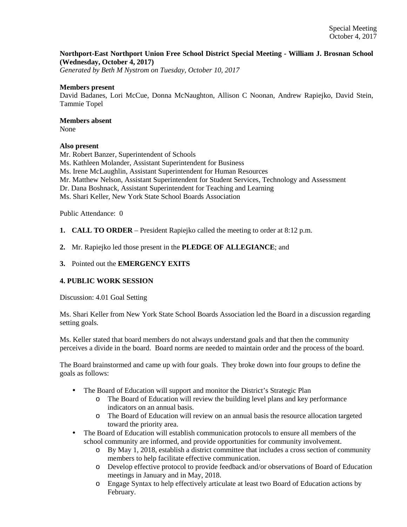# **Northport-East Northport Union Free School District Special Meeting - William J. Brosnan School (Wednesday, October 4, 2017)**

*Generated by Beth M Nystrom on Tuesday, October 10, 2017*

#### **Members present**

David Badanes, Lori McCue, Donna McNaughton, Allison C Noonan, Andrew Rapiejko, David Stein, Tammie Topel

# **Members absent**

None

## **Also present**

Mr. Robert Banzer, Superintendent of Schools Ms. Kathleen Molander, Assistant Superintendent for Business Ms. Irene McLaughlin, Assistant Superintendent for Human Resources Mr. Matthew Nelson, Assistant Superintendent for Student Services, Technology and Assessment Dr. Dana Boshnack, Assistant Superintendent for Teaching and Learning Ms. Shari Keller, New York State School Boards Association

Public Attendance: 0

- **1. CALL TO ORDER** President Rapiejko called the meeting to order at 8:12 p.m.
- **2.** Mr. Rapiejko led those present in the **PLEDGE OF ALLEGIANCE**; and
- **3.** Pointed out the **EMERGENCY EXITS**

## **4. PUBLIC WORK SESSION**

Discussion: 4.01 Goal Setting

Ms. Shari Keller from New York State School Boards Association led the Board in a discussion regarding setting goals.

Ms. Keller stated that board members do not always understand goals and that then the community perceives a divide in the board. Board norms are needed to maintain order and the process of the board.

The Board brainstormed and came up with four goals. They broke down into four groups to define the goals as follows:

- The Board of Education will support and monitor the District's Strategic Plan
	- o The Board of Education will review the building level plans and key performance indicators on an annual basis.
	- o The Board of Education will review on an annual basis the resource allocation targeted toward the priority area.
- The Board of Education will establish communication protocols to ensure all members of the school community are informed, and provide opportunities for community involvement.
	- o By May 1, 2018, establish a district committee that includes a cross section of community members to help facilitate effective communication.
	- o Develop effective protocol to provide feedback and/or observations of Board of Education meetings in January and in May, 2018.
	- o Engage Syntax to help effectively articulate at least two Board of Education actions by February.